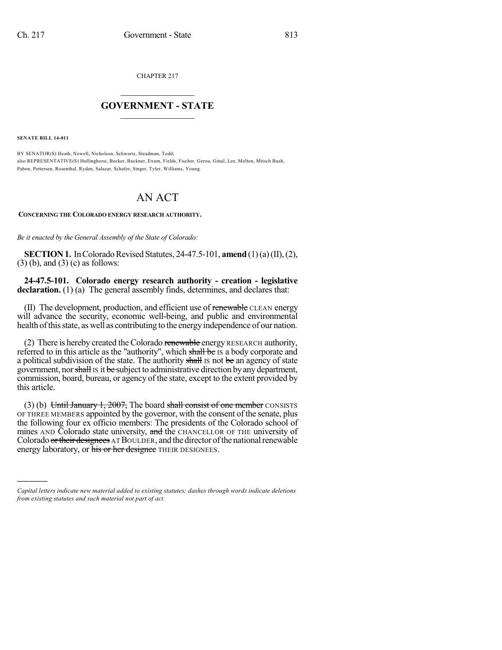CHAPTER 217

## $\mathcal{L}_\text{max}$  . The set of the set of the set of the set of the set of the set of the set of the set of the set of the set of the set of the set of the set of the set of the set of the set of the set of the set of the set **GOVERNMENT - STATE**  $\_$   $\_$   $\_$   $\_$   $\_$   $\_$   $\_$   $\_$

**SENATE BILL 14-011**

)))))

BY SENATOR(S) Heath, Newell, Nicholson, Schwartz, Steadman, Todd; also REPRESENTATIVE(S) Hullinghorst, Becker, Buckner, Exum, Fields, Fischer, Gerou, Ginal, Lee, Melton, Mitsch Bush, Pabon, Pettersen, Rosenthal, Ryden, Salazar, Schafer, Singer, Tyler, Williams, Young.

## AN ACT

## **CONCERNING THE COLORADO ENERGY RESEARCH AUTHORITY.**

*Be it enacted by the General Assembly of the State of Colorado:*

**SECTION 1.** In Colorado Revised Statutes, 24-47.5-101, **amend** (1)(a)(II), (2), (3) (b), and (3) (c) as follows:

**24-47.5-101. Colorado energy research authority - creation - legislative** declaration. (1) (a) The general assembly finds, determines, and declares that:

(II) The development, production, and efficient use of renewable CLEAN energy will advance the security, economic well-being, and public and environmental health of this state, as well as contributing to the energy independence of our nation.

(2) There is hereby created the Colorado renewable energy RESEARCH authority, referred to in this article as the "authority", which shall be IS a body corporate and a political subdivision of the state. The authority shall is not be an agency of state government, nor shall is it be subject to administrative direction by any department, commission, board, bureau, or agency of the state, except to the extent provided by this article.

(3) (b) Until January 1, 2007, The board shall consist of one member CONSISTS OF THREE MEMBERS appointed by the governor, with the consent of the senate, plus the following four ex officio members: The presidents of the Colorado school of mines AND Colorado state university, and the CHANCELLOR OF THE university of Colorado or their designees AT BOULDER, and the director of the national renewable energy laboratory, or his or her designee THEIR DESIGNEES.

*Capital letters indicate new material added to existing statutes; dashes through words indicate deletions from existing statutes and such material not part of act.*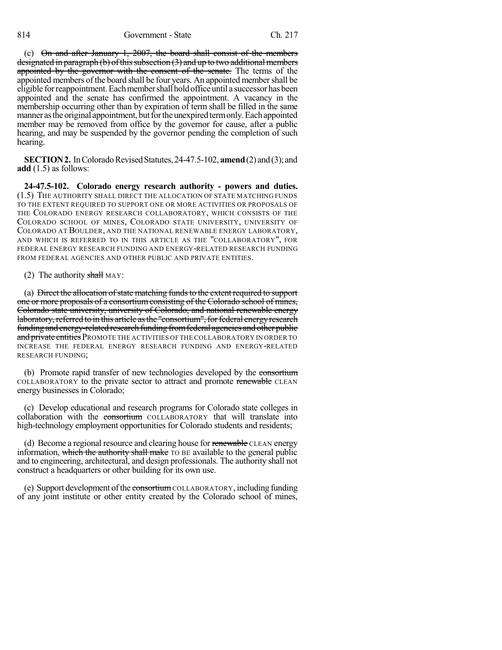(c) On and after January 1, 2007, the board shall consist of the members designated in paragraph (b) of this subsection  $(3)$  and up to two additional members appointed by the governor with the consent of the senate. The terms of the appointed members of the board shall be four years. An appointed member shall be eligible for reappointment. Each member shall hold office until a successor has been appointed and the senate has confirmed the appointment. A vacancy in the membership occurring other than by expiration of term shall be filled in the same manner as the original appointment, but for the unexpired term only. Each appointed member may be removed from office by the governor for cause, after a public hearing, and may be suspended by the governor pending the completion of such hearing.

**SECTION 2.** In Colorado Revised Statutes, 24-47.5-102, **amend** (2) and (3); and **add** (1.5) as follows:

**24-47.5-102. Colorado energy research authority - powers and duties.** (1.5) THE AUTHORITY SHALL DIRECT THE ALLOCATION OF STATE MATCHING FUNDS TO THE EXTENT REQUIRED TO SUPPORT ONE OR MORE ACTIVITIES OR PROPOSALS OF THE COLORADO ENERGY RESEARCH COLLABORATORY, WHICH CONSISTS OF THE COLORADO SCHOOL OF MINES, COLORADO STATE UNIVERSITY, UNIVERSITY OF COLORADO AT BOULDER, AND THE NATIONAL RENEWABLE ENERGY LABORATORY, AND WHICH IS REFERRED TO IN THIS ARTICLE AS THE "COLLABORATORY", FOR FEDERAL ENERGY RESEARCH FUNDING AND ENERGY-RELATED RESEARCH FUNDING FROM FEDERAL AGENCIES AND OTHER PUBLIC AND PRIVATE ENTITIES.

(2) The authority shall MAY:

(a) Direct the allocation of state matching funds to the extent required to support one or more proposals of a consortium consisting of the Colorado school of mines, Colorado state university, university of Colorado, and national renewable energy laboratory, referred to in this article as the "consortium", for federal energy research funding and energy-related research funding fromfederal agencies and other public and private entities PROMOTE THE ACTIVITIES OF THE COLLABORATORY IN ORDER TO INCREASE THE FEDERAL ENERGY RESEARCH FUNDING AND ENERGY-RELATED RESEARCH FUNDING;

(b) Promote rapid transfer of new technologies developed by the consortium COLLABORATORY to the private sector to attract and promote renewable CLEAN energy businesses in Colorado;

(c) Develop educational and research programs for Colorado state colleges in collaboration with the consortium COLLABORATORY that will translate into high-technology employment opportunities for Colorado students and residents;

(d) Become a regional resource and clearing house for renewable CLEAN energy information, which the authority shall make TO BE available to the general public and to engineering, architectural, and design professionals. The authority shall not construct a headquarters or other building for its own use.

(e) Support development of the consortium COLLABORATORY, including funding of any joint institute or other entity created by the Colorado school of mines,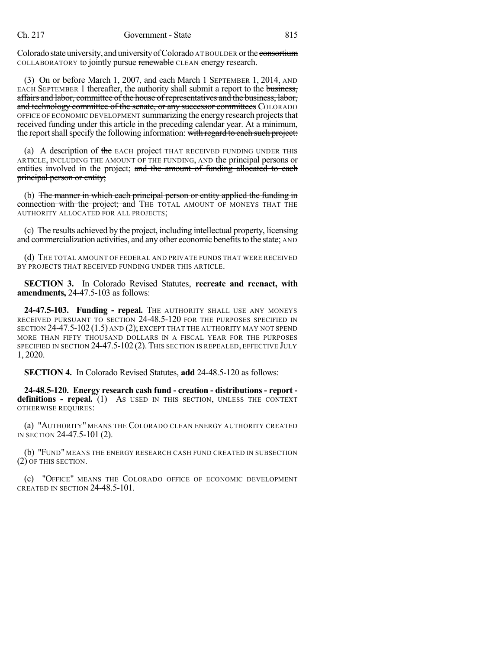Colorado state university, and university of Colorado ATBOULDER or the consortium COLLABORATORY to jointly pursue renewable CLEAN energy research.

(3) On or before March 1, 2007, and each March 1 SEPTEMBER 1, 2014, AND EACH SEPTEMBER 1 thereafter, the authority shall submit a report to the business, affairs and labor, committee of the house ofrepresentatives and the business, labor, and technology committee of the senate, or any successor committees COLORADO OFFICE OF ECONOMIC DEVELOPMENT summarizing the energy research projects that received funding under this article in the preceding calendar year. At a minimum, the report shall specify the following information: with regard to each such project:

(a) A description of the EACH project THAT RECEIVED FUNDING UNDER THIS ARTICLE, INCLUDING THE AMOUNT OF THE FUNDING, AND the principal persons or entities involved in the project; and the amount of funding allocated to each principal person or entity;

(b) The manner in which each principal person or entity applied the funding in connection with the project; and THE TOTAL AMOUNT OF MONEYS THAT THE AUTHORITY ALLOCATED FOR ALL PROJECTS;

(c) The results achieved by the project, including intellectual property, licensing and commercialization activities, and any other economic benefits to the state; AND

(d) THE TOTAL AMOUNT OF FEDERAL AND PRIVATE FUNDS THAT WERE RECEIVED BY PROJECTS THAT RECEIVED FUNDING UNDER THIS ARTICLE.

**SECTION 3.** In Colorado Revised Statutes, **recreate and reenact, with amendments,** 24-47.5-103 as follows:

**24-47.5-103. Funding - repeal.** THE AUTHORITY SHALL USE ANY MONEYS RECEIVED PURSUANT TO SECTION 24-48.5-120 FOR THE PURPOSES SPECIFIED IN SECTION 24-47.5-102 (1.5) AND (2); EXCEPT THAT THE AUTHORITY MAY NOT SPEND MORE THAN FIFTY THOUSAND DOLLARS IN A FISCAL YEAR FOR THE PURPOSES SPECIFIED IN SECTION 24-47.5-102 (2). THIS SECTION IS REPEALED, EFFECTIVE JULY 1, 2020.

**SECTION 4.** In Colorado Revised Statutes, **add** 24-48.5-120 as follows:

**24-48.5-120. Energy research cash fund - creation - distributions - report definitions - repeal.** (1) AS USED IN THIS SECTION, UNLESS THE CONTEXT OTHERWISE REQUIRES:

(a) "AUTHORITY" MEANS THE COLORADO CLEAN ENERGY AUTHORITY CREATED IN SECTION 24-47.5-101 (2).

(b) "FUND" MEANS THE ENERGY RESEARCH CASH FUND CREATED IN SUBSECTION (2) OF THIS SECTION.

(c) "OFFICE" MEANS THE COLORADO OFFICE OF ECONOMIC DEVELOPMENT CREATED IN SECTION 24-48.5-101.